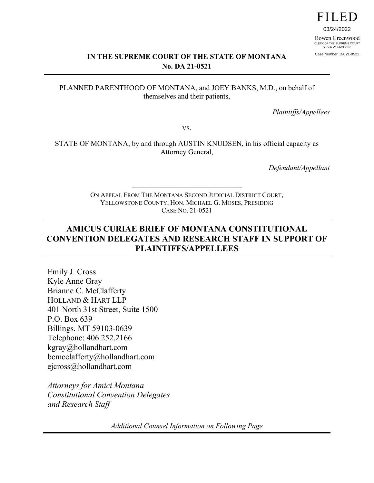# **FILED**

03/24/2022 Bowen Greenwood CLERK OF THE SUPREME COURT<br>STATE OF MONTANA

Case Number: DA 21-0521

#### **IN THE SUPREME COURT OF THE STATE OF MONTANA No. DA 21-0521**

#### PLANNED PARENTHOOD OF MONTANA, and JOEY BANKS, M.D., on behalf of themselves and their patients,

*Plaintiffs/Appellees*

VS.

STATE OF MONTANA, by and through AUSTIN KNUDSEN, in his official capacity as Attorney General,

*Defendant/Appellant*

ON APPEAL FROM THE MONTANA SECOND JUDICIAL DISTRICT COURT, YELLOWSTONE COUNTY, HON. MICHAEL G. MOSES, PRESIDING CASE NO. 21-0521

\_\_\_\_\_\_\_\_\_\_\_\_\_\_\_\_\_\_\_\_\_\_\_\_\_\_\_\_\_\_

## **AMICUS CURIAE BRIEF OF MONTANA CONSTITUTIONAL CONVENTION DELEGATES AND RESEARCH STAFF IN SUPPORT OF PLAINTIFFS/APPELLEES**

Emily J. Cross Kyle Anne Gray Brianne C. McClafferty HOLLAND & HART LLP 401 North 31st Street, Suite 1500 P.O. Box 639 Billings, MT 59103-0639 Telephone: 406.252.2166 kgray@hollandhart.com bcmcclafferty@hollandhart.com ejcross@hollandhart.com

*Attorneys for Amici Montana Constitutional Convention Delegates and Research Staff*

*Additional Counsel Information on Following Page*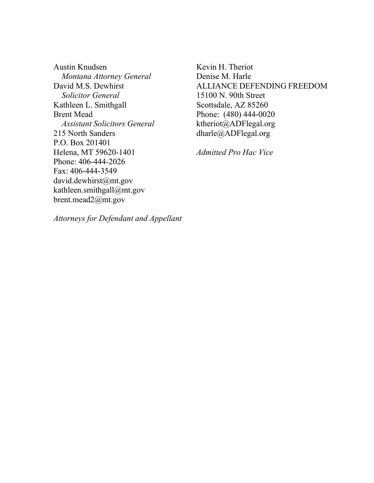Austin Knudsen  *Montana Attorney General*  David M.S. Dewhirst *Solicitor General* Kathleen L. Smithgall Brent Mead *Assistant Solicitors General* 215 North Sanders P.O. Box 201401 Helena, MT 59620-1401 Phone: 406-444-2026 Fax: 406-444-3549 david.dewhirst@mt.gov kathleen.smithgall@mt.gov brent.mead2@mt.gov

Kevin H. Theriot Denise M. Harle ALLIANCE DEFENDING FREEDOM 15100 N. 90th Street Scottsdale, AZ 85260 Phone: (480) 444-0020 ktheriot@ADFlegal.org dharle@ADFlegal.org

*Admitted Pro Hac Vice*

*Attorneys for Defendant and Appellant*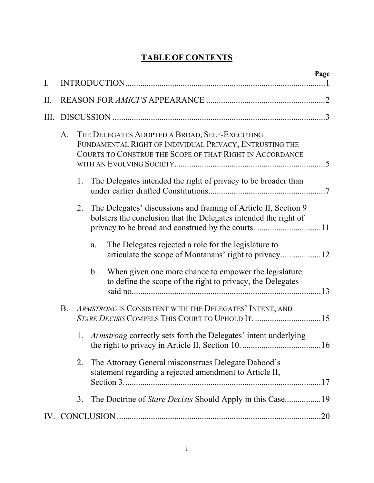## **TABLE OF CONTENTS**

| I.   |           |                                                                                                                                                                      |                |                                                                                                                                     | Page |  |  |  |
|------|-----------|----------------------------------------------------------------------------------------------------------------------------------------------------------------------|----------------|-------------------------------------------------------------------------------------------------------------------------------------|------|--|--|--|
| II.  |           |                                                                                                                                                                      |                |                                                                                                                                     |      |  |  |  |
| III. |           |                                                                                                                                                                      |                |                                                                                                                                     |      |  |  |  |
|      | A.        | THE DELEGATES ADOPTED A BROAD, SELF-EXECUTING<br>FUNDAMENTAL RIGHT OF INDIVIDUAL PRIVACY, ENTRUSTING THE<br>COURTS TO CONSTRUE THE SCOPE OF THAT RIGHT IN ACCORDANCE |                |                                                                                                                                     |      |  |  |  |
|      |           | 1.                                                                                                                                                                   |                | The Delegates intended the right of privacy to be broader than                                                                      |      |  |  |  |
|      |           | 2.                                                                                                                                                                   |                | The Delegates' discussions and framing of Article II, Section 9<br>bolsters the conclusion that the Delegates intended the right of |      |  |  |  |
|      |           |                                                                                                                                                                      | a.             | The Delegates rejected a role for the legislature to                                                                                |      |  |  |  |
|      |           |                                                                                                                                                                      | $\mathbf{b}$ . | When given one more chance to empower the legislature<br>to define the scope of the right to privacy, the Delegates                 |      |  |  |  |
|      | <b>B.</b> |                                                                                                                                                                      |                | ARMSTRONG IS CONSISTENT WITH THE DELEGATES' INTENT, AND                                                                             |      |  |  |  |
|      |           |                                                                                                                                                                      |                | 1. <i>Armstrong</i> correctly sets forth the Delegates' intent underlying                                                           |      |  |  |  |
|      |           | 2.                                                                                                                                                                   |                | The Attorney General misconstrues Delegate Dahood's<br>statement regarding a rejected amendment to Article II,                      |      |  |  |  |
|      |           | 3.                                                                                                                                                                   |                |                                                                                                                                     |      |  |  |  |
|      |           |                                                                                                                                                                      |                |                                                                                                                                     |      |  |  |  |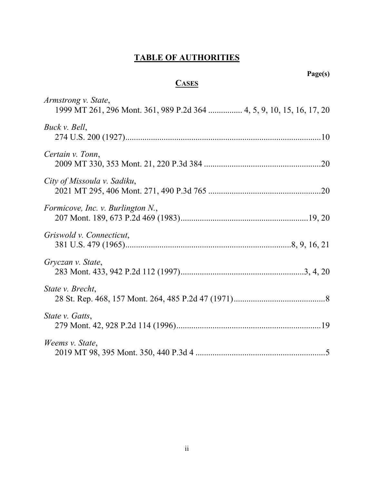# **TABLE OF AUTHORITIES**

## **Page(s)**

# **CASES**

| Armstrong v. State,<br>1999 MT 261, 296 Mont. 361, 989 P.2d 364  4, 5, 9, 10, 15, 16, 17, 20 |
|----------------------------------------------------------------------------------------------|
| Buck v. Bell,                                                                                |
| Certain v. Tonn,                                                                             |
| City of Missoula v. Sadiku,                                                                  |
| Formicove, Inc. v. Burlington N.,                                                            |
| Griswold v. Connecticut,                                                                     |
| Gryczan v. State,                                                                            |
| State <i>v.</i> Brecht,                                                                      |
| State <i>v.</i> Gatts,                                                                       |
| Weems v. State,                                                                              |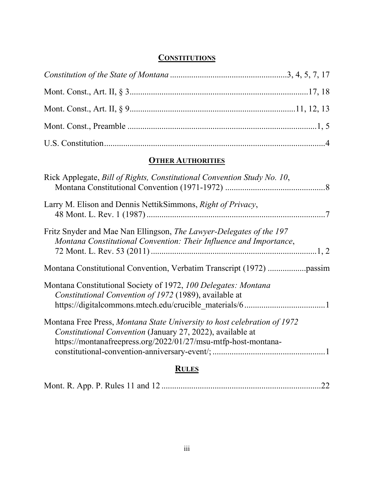#### **CONSTITUTIONS**

## **OTHER AUTHORITIES**

| Rick Applegate, Bill of Rights, Constitutional Convention Study No. 10,                                                                                                                                  |
|----------------------------------------------------------------------------------------------------------------------------------------------------------------------------------------------------------|
| Larry M. Elison and Dennis NettikSimmons, Right of Privacy,                                                                                                                                              |
| Fritz Snyder and Mae Nan Ellingson, <i>The Lawyer-Delegates of the 197</i><br>Montana Constitutional Convention: Their Influence and Importance,                                                         |
|                                                                                                                                                                                                          |
| Montana Constitutional Society of 1972, 100 Delegates: Montana<br>Constitutional Convention of 1972 (1989), available at                                                                                 |
| Montana Free Press, Montana State University to host celebration of 1972<br>Constitutional Convention (January 27, 2022), available at<br>https://montanafreepress.org/2022/01/27/msu-mtfp-host-montana- |
| <b>RULES</b>                                                                                                                                                                                             |

|--|--|--|--|--|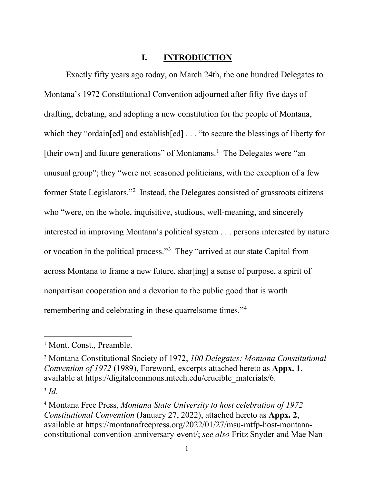#### **I. INTRODUCTION**

<span id="page-5-0"></span>Exactly fifty years ago today, on March 24th, the one hundred Delegates to Montana's 1972 Constitutional Convention adjourned after fifty-five days of drafting, debating, and adopting a new constitution for the people of Montana, which they "ordain[ed] and establish[ed] . . . "to secure the blessings of liberty for [their own] and future generations" of Montanans.<sup>[1](#page-5-5)</sup> The Delegates were "an unusual group"; they "were not seasoned politicians, with the exception of a few former State Legislators."<sup>[2](#page-5-6)</sup> Instead, the Delegates consisted of grassroots citizens who "were, on the whole, inquisitive, studious, well-meaning, and sincerely interested in improving Montana's political system . . . persons interested by nature or vocation in the political process."[3](#page-5-7) They "arrived at our state Capitol from across Montana to frame a new future, shar[ing] a sense of purpose, a spirit of nonpartisan cooperation and a devotion to the public good that is worth remembering and celebrating in these quarrelsome times."<sup>[4](#page-5-8)</sup>

<span id="page-5-5"></span><span id="page-5-1"></span><sup>&</sup>lt;sup>1</sup> Mont. Const., Preamble.

<span id="page-5-6"></span><span id="page-5-4"></span><sup>2</sup> Montana Constitutional Society of 1972, *100 Delegates: Montana Constitutional Convention of 1972* (1989), Foreword, excerpts attached hereto as **Appx. 1**, available at https://digitalcommons.mtech.edu/crucible\_materials/6.

<span id="page-5-7"></span><span id="page-5-3"></span><sup>3</sup> *Id.* 

<span id="page-5-8"></span><span id="page-5-2"></span><sup>4</sup> Montana Free Press, *Montana State University to host celebration of 1972 Constitutional Convention* (January 27, 2022), attached hereto as **Appx. 2**, available at https://montanafreepress.org/2022/01/27/msu-mtfp-host-montanaconstitutional-convention-anniversary-event/; *see also* Fritz Snyder and Mae Nan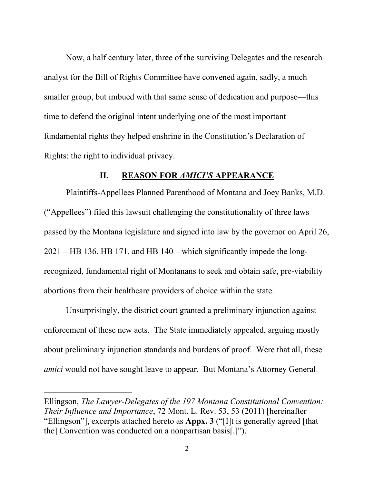Now, a half century later, three of the surviving Delegates and the research analyst for the Bill of Rights Committee have convened again, sadly, a much smaller group, but imbued with that same sense of dedication and purpose—this time to defend the original intent underlying one of the most important fundamental rights they helped enshrine in the Constitution's Declaration of Rights: the right to individual privacy.

#### **II. REASON FOR** *AMICI'S* **APPEARANCE**

<span id="page-6-0"></span>Plaintiffs-Appellees Planned Parenthood of Montana and Joey Banks, M.D. ("Appellees") filed this lawsuit challenging the constitutionality of three laws passed by the Montana legislature and signed into law by the governor on April 26, 2021—HB 136, HB 171, and HB 140—which significantly impede the longrecognized, fundamental right of Montanans to seek and obtain safe, pre-viability abortions from their healthcare providers of choice within the state.

Unsurprisingly, the district court granted a preliminary injunction against enforcement of these new acts. The State immediately appealed, arguing mostly about preliminary injunction standards and burdens of proof. Were that all, these *amici* would not have sought leave to appear. But Montana's Attorney General

Ellingson, *The Lawyer-Delegates of the 197 Montana Constitutional Convention: Their Influence and Importance*, 72 Mont. L. Rev. 53, 53 (2011) [hereinafter "Ellingson"], excerpts attached hereto as **Appx. 3** ("[I]t is generally agreed [that the] Convention was conducted on a nonpartisan basis[.]").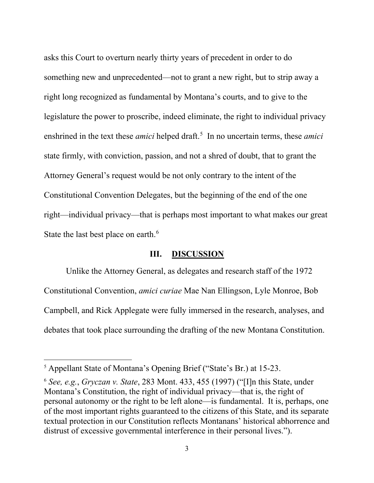asks this Court to overturn nearly thirty years of precedent in order to do something new and unprecedented—not to grant a new right, but to strip away a right long recognized as fundamental by Montana's courts, and to give to the legislature the power to proscribe, indeed eliminate, the right to individual privacy enshrined in the text these *amici* helped draft.<sup>[5](#page-7-3)</sup> In no uncertain terms, these *amici* state firmly, with conviction, passion, and not a shred of doubt, that to grant the Attorney General's request would be not only contrary to the intent of the Constitutional Convention Delegates, but the beginning of the end of the one right—individual privacy—that is perhaps most important to what makes our great State the last best place on earth.<sup>[6](#page-7-4)</sup>

#### **III. DISCUSSION**

<span id="page-7-2"></span><span id="page-7-0"></span>Unlike the Attorney General, as delegates and research staff of the 1972 Constitutional Convention, *amici curiae* Mae Nan Ellingson, Lyle Monroe, Bob Campbell, and Rick Applegate were fully immersed in the research, analyses, and debates that took place surrounding the drafting of the new Montana Constitution.

<span id="page-7-3"></span><span id="page-7-1"></span><sup>5</sup> Appellant State of Montana's Opening Brief ("State's Br.) at 15-23.

<span id="page-7-4"></span><sup>6</sup> *See, e.g.*, *Gryczan v. State*, 283 Mont. 433, 455 (1997) ("[I]n this State, under Montana's Constitution, the right of individual privacy—that is, the right of personal autonomy or the right to be left alone—is fundamental. It is, perhaps, one of the most important rights guaranteed to the citizens of this State, and its separate textual protection in our Constitution reflects Montanans' historical abhorrence and distrust of excessive governmental interference in their personal lives.").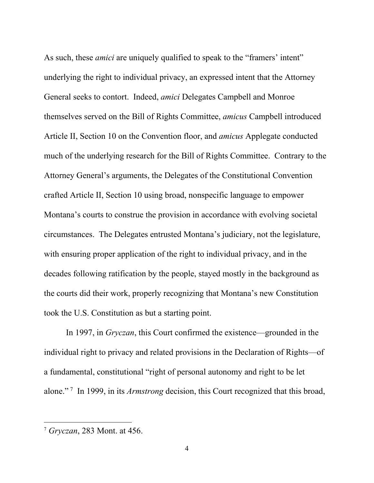As such, these *amici* are uniquely qualified to speak to the "framers' intent" underlying the right to individual privacy, an expressed intent that the Attorney General seeks to contort. Indeed, *amici* Delegates Campbell and Monroe themselves served on the Bill of Rights Committee, *amicus* Campbell introduced Article II, Section 10 on the Convention floor, and *amicus* Applegate conducted much of the underlying research for the Bill of Rights Committee. Contrary to the Attorney General's arguments, the Delegates of the Constitutional Convention crafted Article II, Section 10 using broad, nonspecific language to empower Montana's courts to construe the provision in accordance with evolving societal circumstances. The Delegates entrusted Montana's judiciary, not the legislature, with ensuring proper application of the right to individual privacy, and in the decades following ratification by the people, stayed mostly in the background as the courts did their work, properly recognizing that Montana's new Constitution took the U.S. Constitution as but a starting point.

<span id="page-8-0"></span>In 1997, in *Gryczan*, this Court confirmed the existence—grounded in the individual right to privacy and related provisions in the Declaration of Rights—of a fundamental, constitutional "right of personal autonomy and right to be let alone." [7](#page-8-1) In 1999, in its *Armstrong* decision, this Court recognized that this broad,

<span id="page-8-1"></span><sup>7</sup> *Gryczan*, 283 Mont. at 456.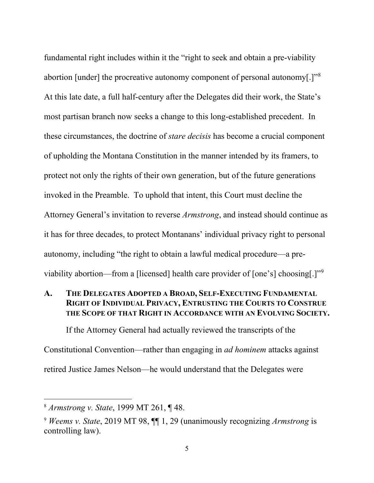fundamental right includes within it the "right to seek and obtain a pre-viability abortion [under] the procreative autonomy component of personal autonomy[.]" $8$ At this late date, a full half-century after the Delegates did their work, the State's most partisan branch now seeks a change to this long-established precedent. In these circumstances, the doctrine of *stare decisis* has become a crucial component of upholding the Montana Constitution in the manner intended by its framers, to protect not only the rights of their own generation, but of the future generations invoked in the Preamble. To uphold that intent, this Court must decline the Attorney General's invitation to reverse *Armstrong*, and instead should continue as it has for three decades, to protect Montanans' individual privacy right to personal autonomy, including "the right to obtain a lawful medical procedure—a pre-viability abortion—from a [licensed] health care provider of [one's] choosing[.]"<sup>[9](#page-9-3)</sup>

## <span id="page-9-0"></span>**A. THE DELEGATES ADOPTED A BROAD, SELF-EXECUTING FUNDAMENTAL RIGHT OF INDIVIDUAL PRIVACY, ENTRUSTING THE COURTS TO CONSTRUE THE SCOPE OF THAT RIGHT IN ACCORDANCE WITH AN EVOLVING SOCIETY.**

If the Attorney General had actually reviewed the transcripts of the Constitutional Convention—rather than engaging in *ad hominem* attacks against retired Justice James Nelson—he would understand that the Delegates were

<span id="page-9-2"></span><sup>8</sup> *Armstrong v. State*, 1999 MT 261, ¶ 48.

<span id="page-9-3"></span><span id="page-9-1"></span><sup>9</sup> *Weems v. State*, 2019 MT 98, ¶¶ 1, 29 (unanimously recognizing *Armstrong* is controlling law).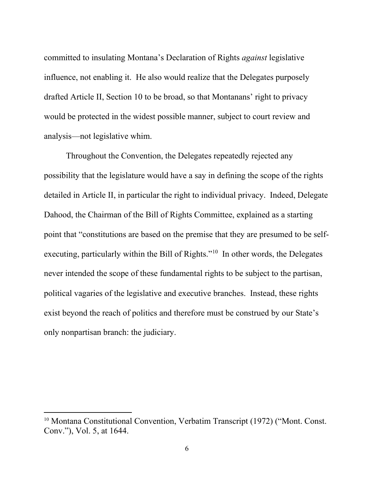committed to insulating Montana's Declaration of Rights *against* legislative influence, not enabling it. He also would realize that the Delegates purposely drafted Article II, Section 10 to be broad, so that Montanans' right to privacy would be protected in the widest possible manner, subject to court review and analysis—not legislative whim.

Throughout the Convention, the Delegates repeatedly rejected any possibility that the legislature would have a say in defining the scope of the rights detailed in Article II, in particular the right to individual privacy. Indeed, Delegate Dahood, the Chairman of the Bill of Rights Committee, explained as a starting point that "constitutions are based on the premise that they are presumed to be selfexecuting, particularly within the Bill of Rights."<sup>10</sup> In other words, the Delegates never intended the scope of these fundamental rights to be subject to the partisan, political vagaries of the legislative and executive branches. Instead, these rights exist beyond the reach of politics and therefore must be construed by our State's only nonpartisan branch: the judiciary.

<span id="page-10-0"></span><sup>&</sup>lt;sup>10</sup> Montana Constitutional Convention, Verbatim Transcript (1972) ("Mont. Const. Conv."), Vol. 5, at 1644.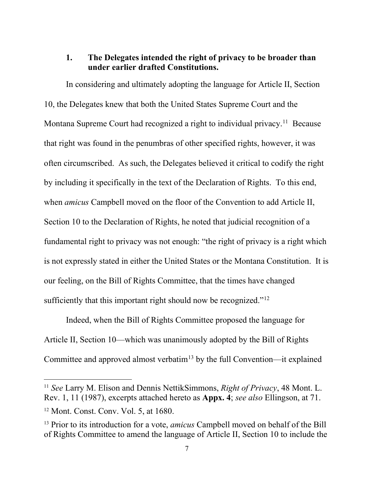#### <span id="page-11-0"></span>**1. The Delegates intended the right of privacy to be broader than under earlier drafted Constitutions.**

In considering and ultimately adopting the language for Article II, Section 10, the Delegates knew that both the United States Supreme Court and the Montana Supreme Court had recognized a right to individual privacy.<sup>11</sup> Because that right was found in the penumbras of other specified rights, however, it was often circumscribed. As such, the Delegates believed it critical to codify the right by including it specifically in the text of the Declaration of Rights. To this end, when *amicus* Campbell moved on the floor of the Convention to add Article II, Section 10 to the Declaration of Rights, he noted that judicial recognition of a fundamental right to privacy was not enough: "the right of privacy is a right which is not expressly stated in either the United States or the Montana Constitution. It is our feeling, on the Bill of Rights Committee, that the times have changed sufficiently that this important right should now be recognized."<sup>[12](#page-11-4)</sup>

<span id="page-11-1"></span>Indeed, when the Bill of Rights Committee proposed the language for Article II, Section 10—which was unanimously adopted by the Bill of Rights Committee and approved almost verbatim<sup>[13](#page-11-5)</sup> by the full Convention—it explained

<span id="page-11-3"></span><span id="page-11-2"></span><sup>11</sup> *See* Larry M. Elison and Dennis NettikSimmons, *Right of Privacy*, 48 Mont. L. Rev. 1, 11 (1987), excerpts attached hereto as **Appx. 4**; *see also* Ellingson, at 71.

<span id="page-11-4"></span><sup>12</sup> Mont. Const. Conv. Vol. 5, at 1680.

<span id="page-11-5"></span><sup>13</sup> Prior to its introduction for a vote, *amicus* Campbell moved on behalf of the Bill of Rights Committee to amend the language of Article II, Section 10 to include the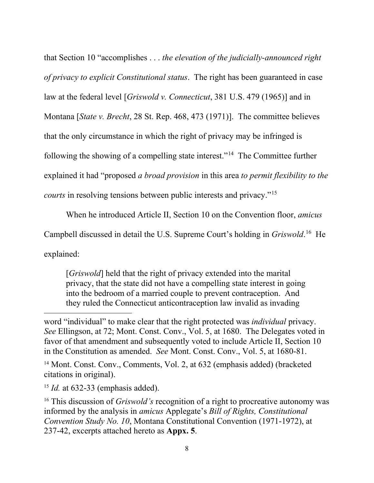that Section 10 "accomplishes . . . *the elevation of the judicially-announced right of privacy to explicit Constitutional status*. The right has been guaranteed in case law at the federal level [*Griswold v. Connecticut*, 381 U.S. 479 (1965)] and in Montana [*State v. Brecht*, 28 St. Rep. 468, 473 (1971)]. The committee believes that the only circumstance in which the right of privacy may be infringed is following the showing of a compelling state interest."[14](#page-12-0) The Committee further explained it had "proposed *a broad provision* in this area *to permit flexibility to the courts* in resolving tensions between public interests and privacy."[15](#page-12-1) 

When he introduced Article II, Section 10 on the Convention floor, *amicus*

Campbell discussed in detail the U.S. Supreme Court's holding in *Griswold*. [16](#page-12-2) He

explained:

[*Griswold*] held that the right of privacy extended into the marital privacy, that the state did not have a compelling state interest in going into the bedroom of a married couple to prevent contraception. And they ruled the Connecticut anticontraception law invalid as invading

word "individual" to make clear that the right protected was *individual* privacy. *See* Ellingson, at 72; Mont. Const. Conv., Vol. 5, at 1680. The Delegates voted in favor of that amendment and subsequently voted to include Article II, Section 10 in the Constitution as amended. *See* Mont. Const. Conv., Vol. 5, at 1680-81.

<span id="page-12-0"></span><sup>14</sup> Mont. Const. Conv., Comments, Vol. 2, at 632 (emphasis added) (bracketed citations in original).

<span id="page-12-1"></span><sup>15</sup> *Id.* at 632-33 (emphasis added).

<span id="page-12-2"></span><sup>16</sup> This discussion of *Griswold's* recognition of a right to procreative autonomy was informed by the analysis in *amicus* Applegate's *Bill of Rights, Constitutional Convention Study No. 10*, Montana Constitutional Convention (1971-1972), at 237-42, excerpts attached hereto as **Appx. 5**.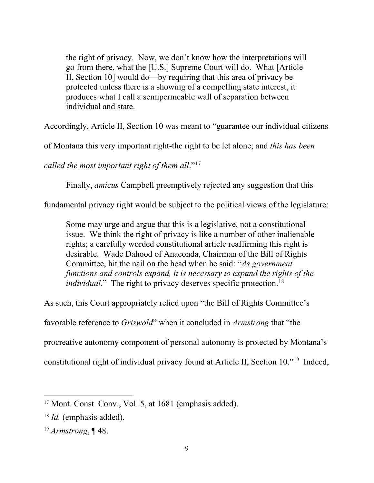the right of privacy. Now, we don't know how the interpretations will go from there, what the [U.S.] Supreme Court will do. What [Article II, Section 10] would do—by requiring that this area of privacy be protected unless there is a showing of a compelling state interest, it produces what I call a semipermeable wall of separation between individual and state.

Accordingly, Article II, Section 10 was meant to "guarantee our individual citizens

of Montana this very important right-the right to be let alone; and *this has been* 

*called the most important right of them all*."[17](#page-13-1) 

Finally, *amicus* Campbell preemptively rejected any suggestion that this

fundamental privacy right would be subject to the political views of the legislature:

Some may urge and argue that this is a legislative, not a constitutional issue. We think the right of privacy is like a number of other inalienable rights; a carefully worded constitutional article reaffirming this right is desirable. Wade Dahood of Anaconda, Chairman of the Bill of Rights Committee, hit the nail on the head when he said: "*As government functions and controls expand, it is necessary to expand the rights of the individual*." The right to privacy deserves specific protection.<sup>[18](#page-13-2)</sup>

<span id="page-13-0"></span>As such, this Court appropriately relied upon "the Bill of Rights Committee's

favorable reference to *Griswold*" when it concluded in *Armstrong* that "the

procreative autonomy component of personal autonomy is protected by Montana's

constitutional right of individual privacy found at Article II, Section 10."[19](#page-13-3) Indeed,

<span id="page-13-1"></span><sup>&</sup>lt;sup>17</sup> Mont. Const. Conv., Vol. 5, at 1681 (emphasis added).

<span id="page-13-2"></span><sup>18</sup> *Id.* (emphasis added).

<span id="page-13-3"></span><sup>19</sup> *Armstrong*, ¶ 48.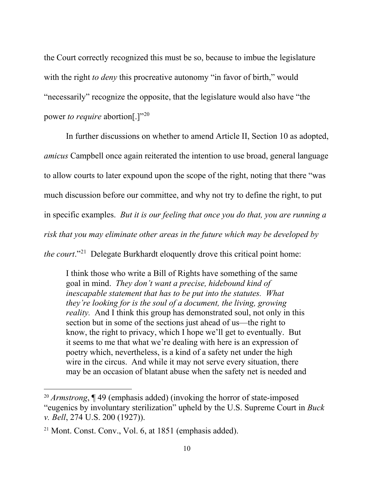the Court correctly recognized this must be so, because to imbue the legislature with the right *to deny* this procreative autonomy "in favor of birth," would "necessarily" recognize the opposite, that the legislature would also have "the power to require abortion[.]"<sup>20</sup>

In further discussions on whether to amend Article II, Section 10 as adopted, *amicus* Campbell once again reiterated the intention to use broad, general language to allow courts to later expound upon the scope of the right, noting that there "was much discussion before our committee, and why not try to define the right, to put in specific examples. *But it is our feeling that once you do that, you are running a risk that you may eliminate other areas in the future which may be developed by the court*.["21](#page-14-1) Delegate Burkhardt eloquently drove this critical point home:

I think those who write a Bill of Rights have something of the same goal in mind. *They don't want a precise, hidebound kind of inescapable statement that has to be put into the statutes. What they're looking for is the soul of a document, the living, growing reality.* And I think this group has demonstrated soul, not only in this section but in some of the sections just ahead of us—the right to know, the right to privacy, which I hope we'll get to eventually. But it seems to me that what we're dealing with here is an expression of poetry which, nevertheless, is a kind of a safety net under the high wire in the circus. And while it may not serve every situation, there may be an occasion of blatant abuse when the safety net is needed and

<span id="page-14-0"></span><sup>20</sup> *Armstrong*, ¶ 49 (emphasis added) (invoking the horror of state-imposed "eugenics by involuntary sterilization" upheld by the U.S. Supreme Court in *Buck v. Bell*, 274 U.S. 200 (1927)).

<span id="page-14-1"></span><sup>21</sup> Mont. Const. Conv., Vol. 6, at 1851 (emphasis added).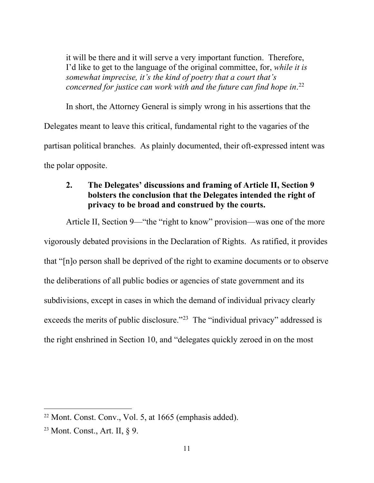it will be there and it will serve a very important function. Therefore, I'd like to get to the language of the original committee, for, *while it is somewhat imprecise, it's the kind of poetry that a court that's concerned for justice can work with and the future can find hope in*. [22](#page-15-1)

In short, the Attorney General is simply wrong in his assertions that the Delegates meant to leave this critical, fundamental right to the vagaries of the partisan political branches. As plainly documented, their oft-expressed intent was the polar opposite.

## <span id="page-15-0"></span>**2. The Delegates' discussions and framing of Article II, Section 9 bolsters the conclusion that the Delegates intended the right of privacy to be broad and construed by the courts.**

Article II, Section 9—"the "right to know" provision—was one of the more vigorously debated provisions in the Declaration of Rights. As ratified, it provides that "[n]o person shall be deprived of the right to examine documents or to observe the deliberations of all public bodies or agencies of state government and its subdivisions, except in cases in which the demand of individual privacy clearly exceeds the merits of public disclosure."<sup>23</sup> The "individual privacy" addressed is the right enshrined in Section 10, and "delegates quickly zeroed in on the most

<span id="page-15-1"></span><sup>22</sup> Mont. Const. Conv., Vol. 5, at 1665 (emphasis added).

<span id="page-15-2"></span><sup>23</sup> Mont. Const., Art. II, § 9.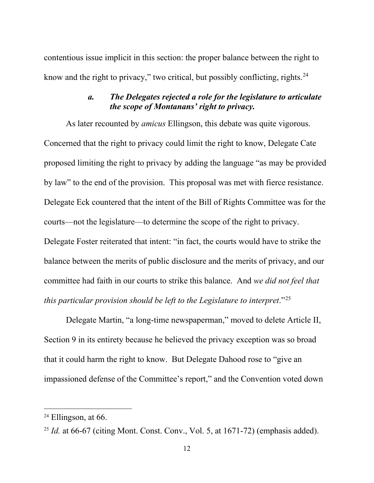contentious issue implicit in this section: the proper balance between the right to know and the right to privacy," two critical, but possibly conflicting, rights.<sup>[24](#page-16-2)</sup>

### *a. The Delegates rejected a role for the legislature to articulate the scope of Montanans' right to privacy.*

<span id="page-16-0"></span>As later recounted by *amicus* Ellingson, this debate was quite vigorous. Concerned that the right to privacy could limit the right to know, Delegate Cate proposed limiting the right to privacy by adding the language "as may be provided by law" to the end of the provision. This proposal was met with fierce resistance. Delegate Eck countered that the intent of the Bill of Rights Committee was for the courts—not the legislature—to determine the scope of the right to privacy. Delegate Foster reiterated that intent: "in fact, the courts would have to strike the balance between the merits of public disclosure and the merits of privacy, and our committee had faith in our courts to strike this balance. And *we did not feel that this particular provision should be left to the Legislature to interpret*."[25](#page-16-3)

<span id="page-16-1"></span>Delegate Martin, "a long-time newspaperman," moved to delete Article II, Section 9 in its entirety because he believed the privacy exception was so broad that it could harm the right to know. But Delegate Dahood rose to "give an impassioned defense of the Committee's report," and the Convention voted down

<span id="page-16-2"></span> $24$  Ellingson, at 66.

<span id="page-16-3"></span><sup>&</sup>lt;sup>25</sup> *Id.* at 66-67 (citing Mont. Const. Conv., Vol. 5, at 1671-72) (emphasis added).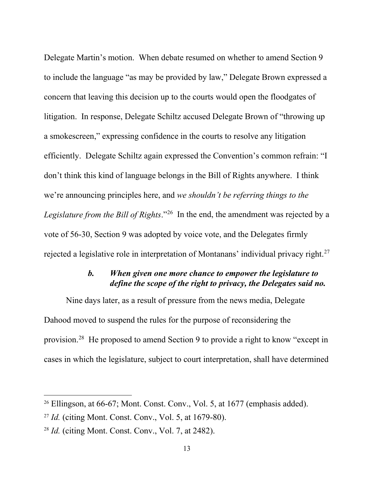Delegate Martin's motion. When debate resumed on whether to amend Section 9 to include the language "as may be provided by law," Delegate Brown expressed a concern that leaving this decision up to the courts would open the floodgates of litigation. In response, Delegate Schiltz accused Delegate Brown of "throwing up a smokescreen," expressing confidence in the courts to resolve any litigation efficiently. Delegate Schiltz again expressed the Convention's common refrain: "I don't think this kind of language belongs in the Bill of Rights anywhere. I think we're announcing principles here, and *we shouldn't be referring things to the Legislature from the Bill of Rights*."[26](#page-17-2) In the end, the amendment was rejected by a vote of 56-30, Section 9 was adopted by voice vote, and the Delegates firmly rejected a legislative role in interpretation of Montanans' individual privacy right.<sup>[27](#page-17-3)</sup>

### *b. When given one more chance to empower the legislature to define the scope of the right to privacy, the Delegates said no.*

<span id="page-17-0"></span>Nine days later, as a result of pressure from the news media, Delegate Dahood moved to suspend the rules for the purpose of reconsidering the provision.[28](#page-17-4) He proposed to amend Section 9 to provide a right to know "except in cases in which the legislature, subject to court interpretation, shall have determined

<span id="page-17-2"></span><span id="page-17-1"></span> $26$  Ellingson, at 66-67; Mont. Const. Conv., Vol. 5, at 1677 (emphasis added).

<span id="page-17-3"></span><sup>27</sup> *Id.* (citing Mont. Const. Conv., Vol. 5, at 1679-80).

<span id="page-17-4"></span><sup>28</sup> *Id.* (citing Mont. Const. Conv., Vol. 7, at 2482).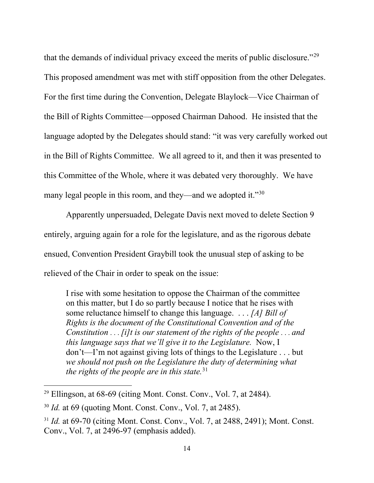that the demands of individual privacy exceed the merits of public disclosure."[29](#page-18-0)  This proposed amendment was met with stiff opposition from the other Delegates. For the first time during the Convention, Delegate Blaylock—Vice Chairman of the Bill of Rights Committee—opposed Chairman Dahood. He insisted that the language adopted by the Delegates should stand: "it was very carefully worked out in the Bill of Rights Committee. We all agreed to it, and then it was presented to this Committee of the Whole, where it was debated very thoroughly. We have many legal people in this room, and they—and we adopted it."<sup>[30](#page-18-1)</sup>

Apparently unpersuaded, Delegate Davis next moved to delete Section 9 entirely, arguing again for a role for the legislature, and as the rigorous debate ensued, Convention President Graybill took the unusual step of asking to be relieved of the Chair in order to speak on the issue:

I rise with some hesitation to oppose the Chairman of the committee on this matter, but I do so partly because I notice that he rises with some reluctance himself to change this language. . . . *[A] Bill of Rights is the document of the Constitutional Convention and of the Constitution* . . . *[i]t is our statement of the rights of the people* . . . *and this language says that we'll give it to the Legislature.* Now, I don't—I'm not against giving lots of things to the Legislature . . . but *we should not push on the Legislature the duty of determining what the rights of the people are in this state.*[31](#page-18-2)

<span id="page-18-0"></span><sup>29</sup> Ellingson, at 68-69 (citing Mont. Const. Conv., Vol. 7, at 2484).

<span id="page-18-1"></span><sup>30</sup> *Id.* at 69 (quoting Mont. Const. Conv., Vol. 7, at 2485).

<span id="page-18-2"></span><sup>&</sup>lt;sup>31</sup> *Id.* at 69-70 (citing Mont. Const. Conv., Vol. 7, at 2488, 2491); Mont. Const. Conv., Vol. 7, at 2496-97 (emphasis added).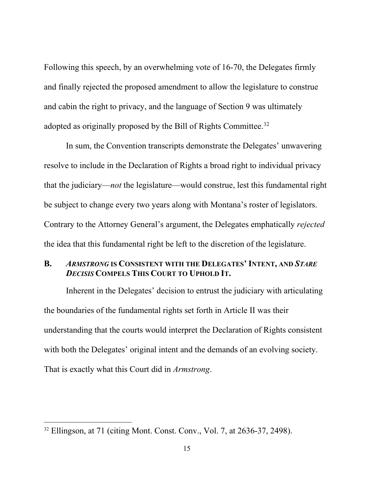Following this speech, by an overwhelming vote of 16-70, the Delegates firmly and finally rejected the proposed amendment to allow the legislature to construe and cabin the right to privacy, and the language of Section 9 was ultimately adopted as originally proposed by the Bill of Rights Committee.[32](#page-19-1)

In sum, the Convention transcripts demonstrate the Delegates' unwavering resolve to include in the Declaration of Rights a broad right to individual privacy that the judiciary—*not* the legislature—would construe, lest this fundamental right be subject to change every two years along with Montana's roster of legislators. Contrary to the Attorney General's argument, the Delegates emphatically *rejected*  the idea that this fundamental right be left to the discretion of the legislature.

#### <span id="page-19-0"></span>**B.** *ARMSTRONG* **IS CONSISTENT WITH THE DELEGATES' INTENT, AND** *STARE DECISIS* **COMPELS THIS COURT TO UPHOLD IT.**

Inherent in the Delegates' decision to entrust the judiciary with articulating the boundaries of the fundamental rights set forth in Article II was their understanding that the courts would interpret the Declaration of Rights consistent with both the Delegates' original intent and the demands of an evolving society. That is exactly what this Court did in *Armstrong*.

<span id="page-19-1"></span><sup>32</sup> Ellingson, at 71 (citing Mont. Const. Conv., Vol. 7, at 2636-37, 2498).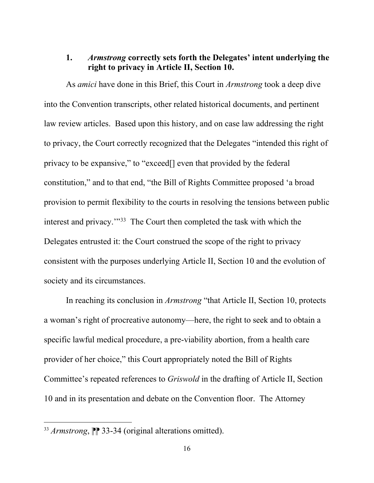## <span id="page-20-0"></span>**1.** *Armstrong* **correctly sets forth the Delegates' intent underlying the right to privacy in Article II, Section 10.**

As *amici* have done in this Brief, this Court in *Armstrong* took a deep dive into the Convention transcripts, other related historical documents, and pertinent law review articles. Based upon this history, and on case law addressing the right to privacy, the Court correctly recognized that the Delegates "intended this right of privacy to be expansive," to "exceed[] even that provided by the federal constitution," and to that end, "the Bill of Rights Committee proposed 'a broad provision to permit flexibility to the courts in resolving the tensions between public interest and privacy.'"[33](#page-20-2) The Court then completed the task with which the Delegates entrusted it: the Court construed the scope of the right to privacy consistent with the purposes underlying Article II, Section 10 and the evolution of society and its circumstances.

<span id="page-20-1"></span>In reaching its conclusion in *Armstrong* "that Article II, Section 10, protects a woman's right of procreative autonomy—here, the right to seek and to obtain a specific lawful medical procedure, a pre-viability abortion, from a health care provider of her choice," this Court appropriately noted the Bill of Rights Committee's repeated references to *Griswold* in the drafting of Article II, Section 10 and in its presentation and debate on the Convention floor. The Attorney

<span id="page-20-2"></span><sup>&</sup>lt;sup>33</sup> *Armstrong*,  $\mathbb{P}$  33-34 (original alterations omitted).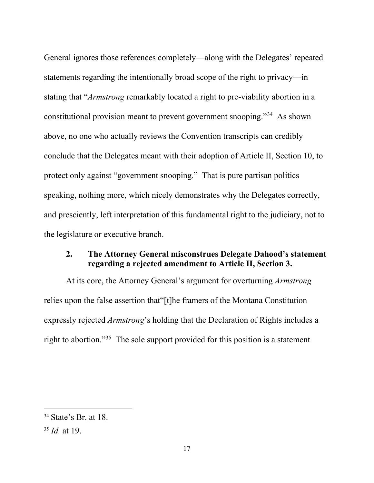General ignores those references completely—along with the Delegates' repeated statements regarding the intentionally broad scope of the right to privacy—in stating that "*Armstrong* remarkably located a right to pre-viability abortion in a constitutional provision meant to prevent government snooping."[34](#page-21-2) As shown above, no one who actually reviews the Convention transcripts can credibly conclude that the Delegates meant with their adoption of Article II, Section 10, to protect only against "government snooping." That is pure partisan politics speaking, nothing more, which nicely demonstrates why the Delegates correctly, and presciently, left interpretation of this fundamental right to the judiciary, not to the legislature or executive branch.

#### <span id="page-21-0"></span>**2. The Attorney General misconstrues Delegate Dahood's statement regarding a rejected amendment to Article II, Section 3.**

<span id="page-21-1"></span>At its core, the Attorney General's argument for overturning *Armstrong*  relies upon the false assertion that"[t]he framers of the Montana Constitution expressly rejected *Armstrong*'s holding that the Declaration of Rights includes a right to abortion."[35](#page-21-3) The sole support provided for this position is a statement

<span id="page-21-2"></span><sup>&</sup>lt;sup>34</sup> State's Br. at 18.

<span id="page-21-3"></span><sup>35</sup> *Id.* at 19.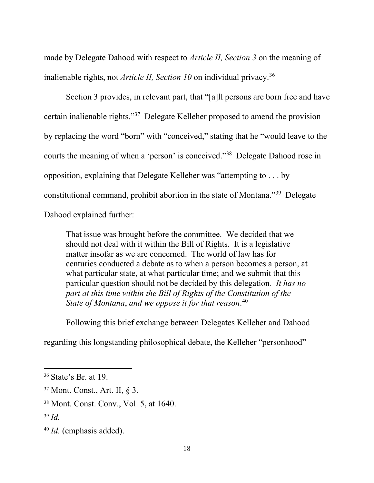made by Delegate Dahood with respect to *Article II, Section 3* on the meaning of inalienable rights, not *Article II, Section 10* on individual privacy.[36](#page-22-0)

Section 3 provides, in relevant part, that "[a]ll persons are born free and have certain inalienable rights."[37](#page-22-1) Delegate Kelleher proposed to amend the provision by replacing the word "born" with "conceived," stating that he "would leave to the courts the meaning of when a 'person' is conceived."[38](#page-22-2) Delegate Dahood rose in opposition, explaining that Delegate Kelleher was "attempting to . . . by constitutional command, prohibit abortion in the state of Montana."[39](#page-22-3) Delegate Dahood explained further:

That issue was brought before the committee. We decided that we should not deal with it within the Bill of Rights. It is a legislative matter insofar as we are concerned. The world of law has for centuries conducted a debate as to when a person becomes a person, at what particular state, at what particular time; and we submit that this particular question should not be decided by this delegation*. It has no part at this time within the Bill of Rights of the Constitution of the State of Montana*, *and we oppose it for that reason*. [40](#page-22-4) 

Following this brief exchange between Delegates Kelleher and Dahood

regarding this longstanding philosophical debate, the Kelleher "personhood"

<span id="page-22-0"></span><sup>36</sup> State's Br. at 19.

<span id="page-22-1"></span><sup>37</sup> Mont. Const., Art. II, § 3.

<span id="page-22-2"></span><sup>38</sup> Mont. Const. Conv., Vol. 5, at 1640.

<span id="page-22-3"></span><sup>39</sup> *Id.*

<span id="page-22-4"></span><sup>40</sup> *Id.* (emphasis added).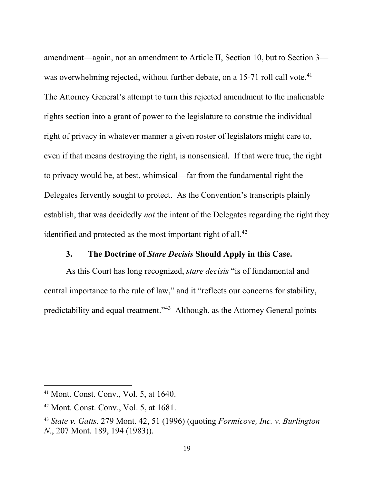amendment—again, not an amendment to Article II, Section 10, but to Section 3 was overwhelming rejected, without further debate, on a 15-71 roll call vote.<sup>41</sup> The Attorney General's attempt to turn this rejected amendment to the inalienable rights section into a grant of power to the legislature to construe the individual right of privacy in whatever manner a given roster of legislators might care to, even if that means destroying the right, is nonsensical. If that were true, the right to privacy would be, at best, whimsical—far from the fundamental right the Delegates fervently sought to protect. As the Convention's transcripts plainly establish, that was decidedly *not* the intent of the Delegates regarding the right they identified and protected as the most important right of all.<sup>[42](#page-23-3)</sup>

#### **3. The Doctrine of** *Stare Decisis* **Should Apply in this Case.**

<span id="page-23-1"></span><span id="page-23-0"></span>As this Court has long recognized, *stare decisis* "is of fundamental and central importance to the rule of law," and it "reflects our concerns for stability, predictability and equal treatment."<sup>43</sup> Although, as the Attorney General points

<span id="page-23-2"></span><sup>41</sup> Mont. Const. Conv., Vol. 5, at 1640.

<span id="page-23-3"></span><sup>42</sup> Mont. Const. Conv., Vol. 5, at 1681.

<span id="page-23-4"></span><sup>43</sup> *State v. Gatts*, 279 Mont. 42, 51 (1996) (quoting *Formicove, Inc. v. Burlington N.*, 207 Mont. 189, 194 (1983)).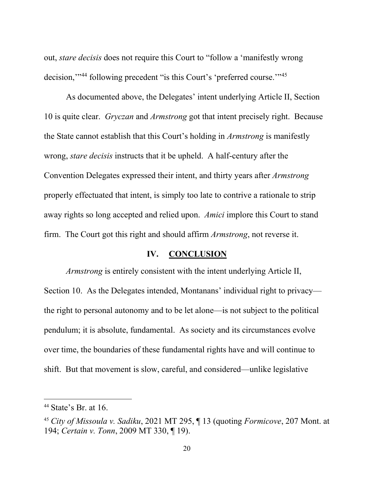out, *stare decisis* does not require this Court to "follow a 'manifestly wrong decision,'"[44](#page-24-1) following precedent "is this Court's 'preferred course.'"[45](#page-24-2)

As documented above, the Delegates' intent underlying Article II, Section 10 is quite clear. *Gryczan* and *Armstrong* got that intent precisely right. Because the State cannot establish that this Court's holding in *Armstrong* is manifestly wrong, *stare decisis* instructs that it be upheld. A half-century after the Convention Delegates expressed their intent, and thirty years after *Armstrong*  properly effectuated that intent, is simply too late to contrive a rationale to strip away rights so long accepted and relied upon. *Amici* implore this Court to stand firm. The Court got this right and should affirm *Armstrong*, not reverse it.

### **IV. CONCLUSION**

<span id="page-24-0"></span>*Armstrong* is entirely consistent with the intent underlying Article II, Section 10. As the Delegates intended, Montanans' individual right to privacy the right to personal autonomy and to be let alone—is not subject to the political pendulum; it is absolute, fundamental. As society and its circumstances evolve over time, the boundaries of these fundamental rights have and will continue to shift. But that movement is slow, careful, and considered—unlike legislative

<span id="page-24-1"></span> $44$  State's Br. at 16.

<span id="page-24-2"></span><sup>45</sup> *City of Missoula v. Sadiku*, 2021 MT 295, ¶ 13 (quoting *Formicove*, 207 Mont. at 194; *Certain v. Tonn*, 2009 MT 330, ¶ 19).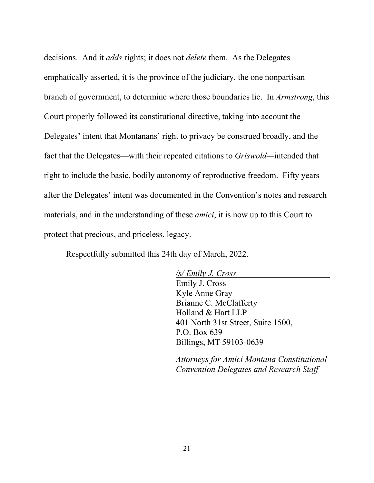decisions. And it *adds* rights; it does not *delete* them. As the Delegates emphatically asserted, it is the province of the judiciary, the one nonpartisan branch of government, to determine where those boundaries lie. In *Armstrong*, this Court properly followed its constitutional directive, taking into account the Delegates' intent that Montanans' right to privacy be construed broadly, and the fact that the Delegates—with their repeated citations to *Griswold—*intended that right to include the basic, bodily autonomy of reproductive freedom. Fifty years after the Delegates' intent was documented in the Convention's notes and research materials, and in the understanding of these *amici*, it is now up to this Court to protect that precious, and priceless, legacy.

Respectfully submitted this 24th day of March, 2022.

*/s/ Emily J. Cross* Emily J. Cross Kyle Anne Gray Brianne C. McClafferty Holland & Hart LLP 401 North 31st Street, Suite 1500, P.O. Box 639 Billings, MT 59103-0639

*Attorneys for Amici Montana Constitutional Convention Delegates and Research Staff*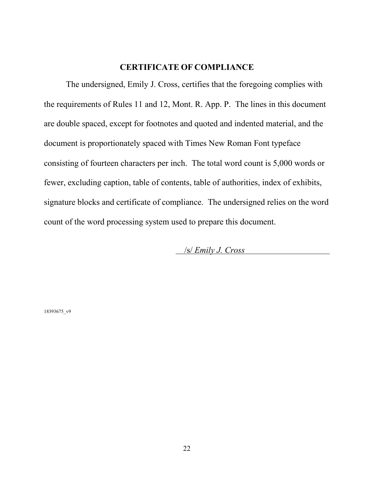#### **CERTIFICATE OF COMPLIANCE**

<span id="page-26-0"></span>The undersigned, Emily J. Cross, certifies that the foregoing complies with the requirements of Rules 11 and 12, Mont. R. App. P. The lines in this document are double spaced, except for footnotes and quoted and indented material, and the document is proportionately spaced with Times New Roman Font typeface consisting of fourteen characters per inch. The total word count is 5,000 words or fewer, excluding caption, table of contents, table of authorities, index of exhibits, signature blocks and certificate of compliance. The undersigned relies on the word count of the word processing system used to prepare this document.

/s/ *Emily J. Cross*

18393675\_v9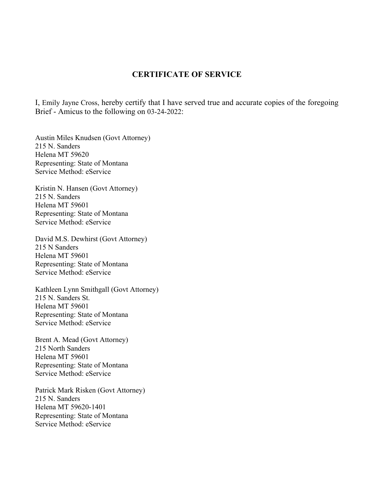#### **CERTIFICATE OF SERVICE**

I, Emily Jayne Cross, hereby certify that I have served true and accurate copies of the foregoing Brief - Amicus to the following on 03-24-2022:

Austin Miles Knudsen (Govt Attorney) 215 N. Sanders Helena MT 59620 Representing: State of Montana Service Method: eService

Kristin N. Hansen (Govt Attorney) 215 N. Sanders Helena MT 59601 Representing: State of Montana Service Method: eService

David M.S. Dewhirst (Govt Attorney) 215 N Sanders Helena MT 59601 Representing: State of Montana Service Method: eService

Kathleen Lynn Smithgall (Govt Attorney) 215 N. Sanders St. Helena MT 59601 Representing: State of Montana Service Method: eService

Brent A. Mead (Govt Attorney) 215 North Sanders Helena MT 59601 Representing: State of Montana Service Method: eService

Patrick Mark Risken (Govt Attorney) 215 N. Sanders Helena MT 59620-1401 Representing: State of Montana Service Method: eService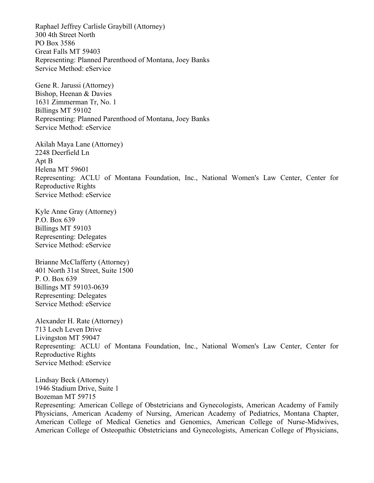Raphael Jeffrey Carlisle Graybill (Attorney) 300 4th Street North PO Box 3586 Great Falls MT 59403 Representing: Planned Parenthood of Montana, Joey Banks Service Method: eService

Gene R. Jarussi (Attorney) Bishop, Heenan & Davies 1631 Zimmerman Tr, No. 1 Billings MT 59102 Representing: Planned Parenthood of Montana, Joey Banks Service Method: eService

Akilah Maya Lane (Attorney) 2248 Deerfield Ln Apt B Helena MT 59601 Representing: ACLU of Montana Foundation, Inc., National Women's Law Center, Center for Reproductive Rights Service Method: eService

Kyle Anne Gray (Attorney) P.O. Box 639 Billings MT 59103 Representing: Delegates Service Method: eService

Brianne McClafferty (Attorney) 401 North 31st Street, Suite 1500 P. O. Box 639 Billings MT 59103-0639 Representing: Delegates Service Method: eService

Alexander H. Rate (Attorney) 713 Loch Leven Drive Livingston MT 59047 Representing: ACLU of Montana Foundation, Inc., National Women's Law Center, Center for Reproductive Rights Service Method: eService

Lindsay Beck (Attorney) 1946 Stadium Drive, Suite 1 Bozeman MT 59715 Representing: American College of Obstetricians and Gynecologists, American Academy of Family Physicians, American Academy of Nursing, American Academy of Pediatrics, Montana Chapter, American College of Medical Genetics and Genomics, American College of Nurse-Midwives, American College of Osteopathic Obstetricians and Gynecologists, American College of Physicians,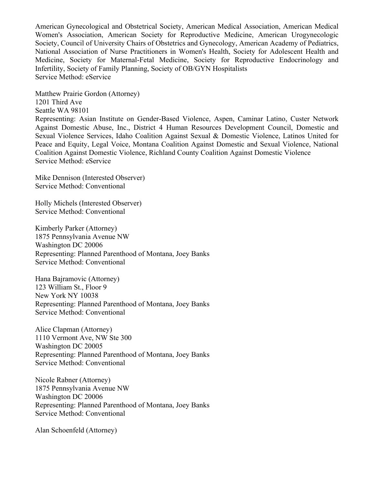American Gynecological and Obstetrical Society, American Medical Association, American Medical Women's Association, American Society for Reproductive Medicine, American Urogynecologic Society, Council of University Chairs of Obstetrics and Gynecology, American Academy of Pediatrics, National Association of Nurse Practitioners in Women's Health, Society for Adolescent Health and Medicine, Society for Maternal-Fetal Medicine, Society for Reproductive Endocrinology and Infertility, Society of Family Planning, Society of OB/GYN Hospitalists Service Method: eService

Matthew Prairie Gordon (Attorney) 1201 Third Ave Seattle WA 98101 Representing: Asian Institute on Gender-Based Violence, Aspen, Caminar Latino, Custer Network Against Domestic Abuse, Inc., District 4 Human Resources Development Council, Domestic and Sexual Violence Services, Idaho Coalition Against Sexual & Domestic Violence, Latinos United for Peace and Equity, Legal Voice, Montana Coalition Against Domestic and Sexual Violence, National Coalition Against Domestic Violence, Richland County Coalition Against Domestic Violence Service Method: eService

Mike Dennison (Interested Observer) Service Method: Conventional

Holly Michels (Interested Observer) Service Method: Conventional

Kimberly Parker (Attorney) 1875 Pennsylvania Avenue NW Washington DC 20006 Representing: Planned Parenthood of Montana, Joey Banks Service Method: Conventional

Hana Bajramovic (Attorney) 123 William St., Floor 9 New York NY 10038 Representing: Planned Parenthood of Montana, Joey Banks Service Method: Conventional

Alice Clapman (Attorney) 1110 Vermont Ave, NW Ste 300 Washington DC 20005 Representing: Planned Parenthood of Montana, Joey Banks Service Method: Conventional

Nicole Rabner (Attorney) 1875 Pennsylvania Avenue NW Washington DC 20006 Representing: Planned Parenthood of Montana, Joey Banks Service Method: Conventional

Alan Schoenfeld (Attorney)